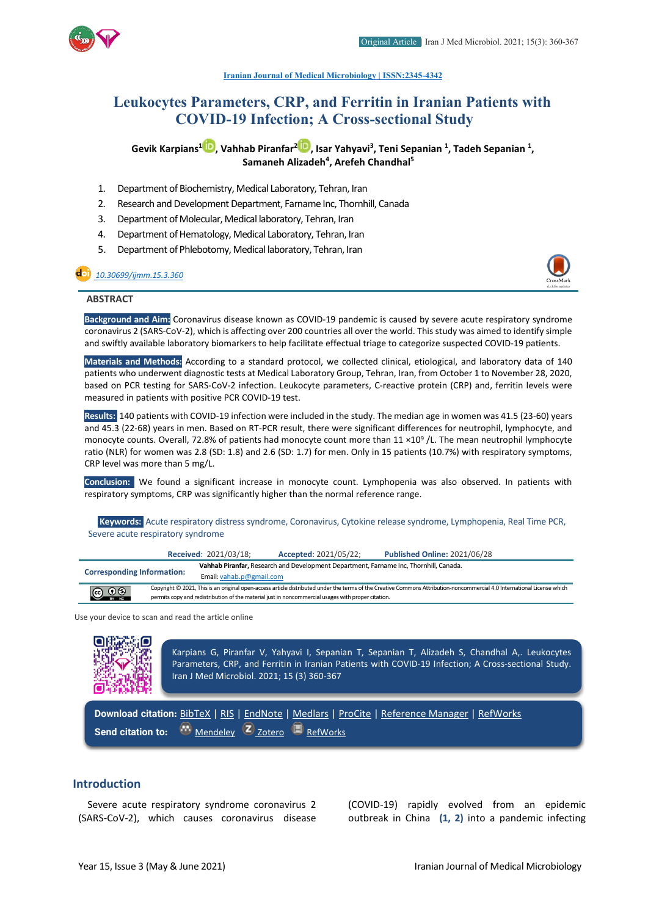

**[Iranian Journal of Medical Microbiology |](https://ijmm.ir/) ISSN:2345-4342**

# **Leukocytes Parameters, CRP, and Ferritin in Iranian Patients with COVID-19 Infection; A Cross-sectional Study**

**Gevik Karpians1 , Vahhab Piranfar[2](https://orcid.org/0000-0003-3653-5739) , Isar Yahyavi3 , Teni Sepanian 1 , Tadeh Sepanian 1 , Samaneh Alizadeh4 , Arefeh Chandhal5**

- 1. Department of Biochemistry, Medical Laboratory, Tehran, Iran
- 2. Research and Development Department, Farname Inc, Thornhill, Canada
- 3. Department of Molecular, Medical laboratory, Tehran, Iran
- 4. Department of Hematology, Medical Laboratory, Tehran, Iran
- 5. Department of Phlebotomy, Medical laboratory, Tehran, Iran

# *[10.30699/ijmm.15.3.360](http://dx.doi.org/10.30699/ijmm.15.3.360)*



# **ABSTRACT**

**Background and Aim:** Coronavirus disease known as COVID-19 pandemic is caused by severe acute respiratory syndrome coronavirus 2 (SARS-CoV-2), which is affecting over 200 countries all over the world. This study was aimed to identify simple and swiftly available laboratory biomarkers to help facilitate effectual triage to categorize suspected COVID-19 patients.

**Materials and Methods:** According to a standard protocol, we collected clinical, etiological, and laboratory data of 140 patients who underwent diagnostic tests at Medical Laboratory Group, Tehran, Iran, from October 1 to November 28, 2020, based on PCR testing for SARS-CoV-2 infection. Leukocyte parameters, C-reactive protein (CRP) and, ferritin levels were measured in patients with positive PCR COVID-19 test.

**Results:** 140 patients with COVID-19 infection were included in the study. The median age in women was 41.5 (23-60) years and 45.3 (22-68) years in men. Based on RT-PCR result, there were significant differences for neutrophil, lymphocyte, and monocyte counts. Overall, 72.8% of patients had monocyte count more than  $11 \times 10^9$  /L. The mean neutrophil lymphocyte ratio (NLR) for women was 2.8 (SD: 1.8) and 2.6 (SD: 1.7) for men. Only in 15 patients (10.7%) with respiratory symptoms, CRP level was more than 5 mg/L.

**Conclusion:** We found a significant increase in monocyte count. Lymphopenia was also observed. In patients with respiratory symptoms, CRP was significantly higher than the normal reference range.

**Keywords:** Acute respiratory distress syndrome, Coronavirus, Cytokine release syndrome, Lymphopenia, Real Time PCR, Severe acute respiratory syndrome

|                                   |                                                                                                    | <b>Received: 2021/03/18;</b>                                                          | <b>Accepted: 2021/05/22;</b> | <b>Published Online: 2021/06/28</b>                                                                                                                                     |  |  |
|-----------------------------------|----------------------------------------------------------------------------------------------------|---------------------------------------------------------------------------------------|------------------------------|-------------------------------------------------------------------------------------------------------------------------------------------------------------------------|--|--|
| <b>Corresponding Information:</b> |                                                                                                    | Vahhab Piranfar, Research and Development Department, Farname Inc, Thornhill, Canada. |                              |                                                                                                                                                                         |  |  |
|                                   |                                                                                                    | Email: vahab.p@gmail.com                                                              |                              |                                                                                                                                                                         |  |  |
| $\circledcirc$ $\circledcirc$     |                                                                                                    |                                                                                       |                              | Copyright © 2021, This is an original open-access article distributed under the terms of the Creative Commons Attribution-noncommercial 4.0 International License which |  |  |
|                                   | permits copy and redistribution of the material just in noncommercial usages with proper citation. |                                                                                       |                              |                                                                                                                                                                         |  |  |
|                                   |                                                                                                    |                                                                                       |                              |                                                                                                                                                                         |  |  |

Use your device to scan and read the article online

Karpians G, Piranfar V, Yahyavi I, Sepanian T, Sepanian T, Alizadeh S, Chandhal A,. Leukocytes Parameters, CRP, and Ferritin in Iranian Patients with COVID-19 Infection; A Cross-sectional Study. Iran J Med Microbiol. 2021; 15 (3) 360-367

**Download citation:** [BibTeX](https://ijmm.ir/web2export.php?a_code=A-10-1562-1&sid=1&slc_lang=en&type=BibTeX) | [RIS](https://ijmm.ir/web2export.php?a_code=A-10-1562-1&sid=1&slc_lang=en&type=ris) | [EndNote](https://ijmm.ir/web2export.php?a_code=A-10-1562-1&sid=1&slc_lang=en&type=EndNote) | [Medlars](https://ijmm.ir/web2export.php?a_code=A-10-1562-1&sid=1&slc_lang=en&type=Medlars) | [ProCite](https://ijmm.ir/web2export.php?a_code=A-10-1562-1&sid=1&slc_lang=en&type=ProCite) | [Reference Manager](https://ijmm.ir/web2export.php?a_code=A-10-1562-1&sid=1&slc_lang=en&type=Reference_Manager) | [RefWorks](https://ijmm.ir/web2export.php?a_code=A-10-1562-1&sid=1&slc_lang=en&type=RefWorks) **Send citation to:**  $\frac{1}{2}$  [Mendeley](http://www.mendeley.com/import/?url=https://ijmm.ir/article-1-1305-en.html) **Z** [Zotero](https://ijmm.ir/web2export.php?a_code=A-10-1562-1&sid=1&slc_lang=en&type=ris) **[RefWorks](http://www.refworks.com/express/ExpressImport.asp?vendor=Iran-J-Med-Microbiol&filter=RefWorks%20Tagged%20Format&encoding=65001&url=http%3A%2F%2Fijmm.ir%2Farticle-1-1305-en.html)** 

# **Introduction**

Severe acute respiratory syndrome coronavirus 2 (SARS-CoV-2), which causes coronavirus disease (COVID-19) rapidly evolved from an epidemic outbreak in China **(1, 2)** into a pandemic infecting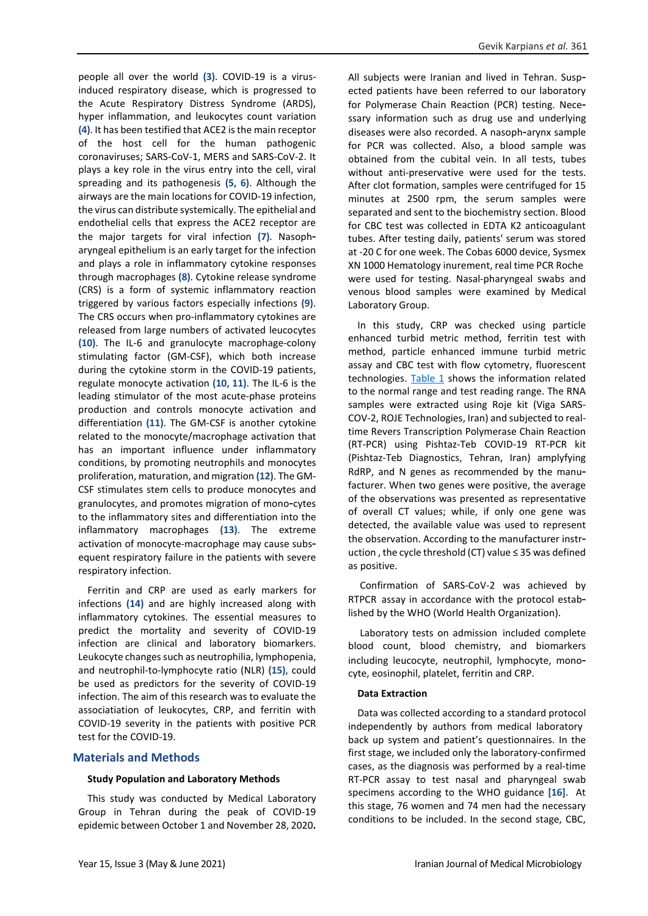people all over the world **(3)**. COVID-19 is a virusinduced respiratory disease, which is progressed to the Acute Respiratory Distress Syndrome (ARDS), hyper inflammation, and leukocytes count variation **(4)**. It has been testified that ACE2 is the main receptor of the host cell for the human pathogenic coronaviruses; SARS-CoV-1, MERS and SARS-CoV-2. It plays a key role in the virus entry into the cell, viral spreading and its pathogenesis **(5, 6)**. Although the airways are the main locations for COVID-19 infection, the virus can distribute systemically. The epithelial and endothelial cells that express the ACE2 receptor are the major targets for viral infection **(7)**. Nasoph aryngeal epithelium is an early target for the infection and plays a role in inflammatory cytokine responses through macrophages **(8)**. Cytokine release syndrome (CRS) is a form of systemic inflammatory reaction triggered by various factors especially infections **(9)**. The CRS occurs when pro-inflammatory cytokines are released from large numbers of activated leucocytes **(10)**. The IL-6 and granulocyte macrophage-colony stimulating factor (GM-CSF), which both increase during the cytokine storm in the COVID-19 patients, regulate monocyte activation **(10, 11)**. The IL-6 is the leading stimulator of the most acute-phase proteins production and controls monocyte activation and differentiation **(11)**. The GM-CSF is another cytokine related to the monocyte/macrophage activation that has an important influence under inflammatory conditions, by promoting neutrophils and monocytes proliferation, maturation, and migration **(12)**. The GM-CSF stimulates stem cells to produce monocytes and granulocytes, and promotes migration of mono-cytes to the inflammatory sites and differentiation into the inflammatory macrophages **(13)**. The extreme activation of monocyte-macrophage may cause subsequent respiratory failure in the patients with severe respiratory infection.

Ferritin and CRP are used as early markers for infections **(14)** and are highly increased along with inflammatory cytokines. The essential measures to predict the mortality and severity of COVID-19 infection are clinical and laboratory biomarkers. Leukocyte changes such as neutrophilia, lymphopenia, and neutrophil-to-lymphocyte ratio (NLR) **(15)**, could be used as predictors for the severity of COVID-19 infection. The aim of this research was to evaluate the associatiation of leukocytes, CRP, and ferritin with COVID-19 severity in the patients with positive PCR test for the COVID-19.

# **Materials and Methods**

#### **Study Population and Laboratory Methods**

This study was conducted by Medical Laboratory Group in Tehran during the peak of COVID-19 epidemic between October 1 and November 28, 2020**.**  All subjects were Iranian and lived in Tehran. Suspected patients have been referred to our laboratory for Polymerase Chain Reaction (PCR) testing. Necessary information such as drug use and underlying diseases were also recorded. A nasoph-arynx sample for PCR was collected. Also, a blood sample was obtained from the cubital vein. In all tests, tubes without anti-preservative were used for the tests. After clot formation, samples were centrifuged for 15 minutes at 2500 rpm, the serum samples were separated and sent to the biochemistry section. Blood for CBC test was collected in EDTA K2 anticoagulant tubes. After testing daily, patients' serum was stored at -20 C for one week. The Cobas 6000 device, Sysmex XN 1000 Hematology inurement, real time PCR Roche were used for testing. Nasal-pharyngeal swabs and venous blood samples were examined by Medical Laboratory Group.

In this study, CRP was checked using particle enhanced turbid metric method, ferritin test with method, particle enhanced immune turbid metric assay and CBC test with flow cytometry, fluorescent technologies. [Table 1](#page-2-0) shows the information related to the normal range and test reading range. The RNA samples were extracted using Roje kit (Viga SARS-COV-2, ROJE Technologies, Iran) and subjected to realtime Revers Transcription Polymerase Chain Reaction (RT-PCR) using Pishtaz-Teb COVID-19 RT-PCR kit (Pishtaz-Teb Diagnostics, Tehran, Iran) amplyfying RdRP, and N genes as recommended by the manufacturer. When two genes were positive, the average of the observations was presented as representative of overall CT values; while, if only one gene was detected, the available value was used to represent the observation. According to the manufacturer instruction , the cycle threshold (CT) value ≤ 35 was defined as positive.

Confirmation of SARS-CoV-2 was achieved by RTPCR assay in accordance with the protocol established by the WHO (World Health Organization).

Laboratory tests on admission included complete blood count, blood chemistry, and biomarkers including leucocyte, neutrophil, lymphocyte, monocyte, eosinophil, platelet, ferritin and CRP.

# **Data Extraction**

Data was collected according to a standard protocol independently by authors from medical laboratory back up system and patient's questionnaires. In the first stage, we included only the laboratory-confirmed cases, as the diagnosis was performed by a real-time RT-PCR assay to test nasal and pharyngeal swab specimens according to the WHO guidance **[16]**. At this stage, 76 women and 74 men had the necessary conditions to be included. In the second stage, CBC,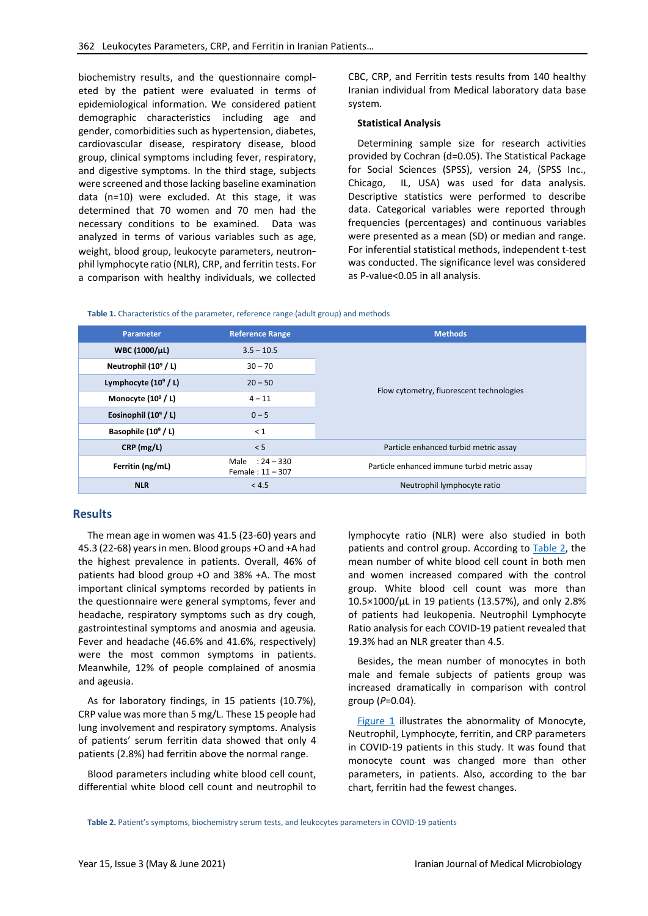biochemistry results, and the questionnaire completed by the patient were evaluated in terms of epidemiological information. We considered patient demographic characteristics including age and gender, comorbidities such as hypertension, diabetes, cardiovascular disease, respiratory disease, blood group, clinical symptoms including fever, respiratory, and digestive symptoms. In the third stage, subjects were screened and those lacking baseline examination data (n=10) were excluded. At this stage, it was determined that 70 women and 70 men had the necessary conditions to be examined. Data was analyzed in terms of various variables such as age, weight, blood group, leukocyte parameters, neutronphil lymphocyte ratio (NLR), CRP, and ferritin tests. For a comparison with healthy individuals, we collected CBC, CRP, and Ferritin tests results from 140 healthy Iranian individual from Medical laboratory data base system.

#### **Statistical Analysis**

Determining sample size for research activities provided by Cochran (d=0.05). The Statistical Package for Social Sciences (SPSS), version 24, (SPSS Inc., Chicago, IL, USA) was used for data analysis. Descriptive statistics were performed to describe data. Categorical variables were reported through frequencies (percentages) and continuous variables were presented as a mean (SD) or median and range. For inferential statistical methods, independent t-test was conducted. The significance level was considered as P-value<0.05 in all analysis.

#### <span id="page-2-0"></span>**Table 1.** Characteristics of the parameter, reference range (adult group) and methods

| <b>Parameter</b>                                       | <b>Reference Range</b> | <b>Methods</b>                               |  |  |
|--------------------------------------------------------|------------------------|----------------------------------------------|--|--|
| WBC (1000/µL)                                          | $3.5 - 10.5$           |                                              |  |  |
| Neutrophil $(10^9 / L)$                                | $30 - 70$              |                                              |  |  |
| Lymphocyte $(10^9 / L)$                                | $20 - 50$              | Flow cytometry, fluorescent technologies     |  |  |
| Monocyte $(10^9 / L)$                                  | $4 - 11$               |                                              |  |  |
| Eosinophil $(10^9 / L)$                                | $0 - 5$                |                                              |  |  |
| Basophile $(10^9 / L)$<br>$\leq 1$                     |                        |                                              |  |  |
| CRP (mg/L)                                             | < 5                    | Particle enhanced turbid metric assay        |  |  |
| Male: $24 - 330$<br>Ferritin (ng/mL)<br>Female: 11-307 |                        | Particle enhanced immune turbid metric assay |  |  |
| <b>NLR</b><br>< 4.5                                    |                        | Neutrophil lymphocyte ratio                  |  |  |

# **Results**

The mean age in women was 41.5 (23-60) years and 45.3 (22-68) years in men. Blood groups +O and +A had the highest prevalence in patients. Overall, 46% of patients had blood group +O and 38% +A. The most important clinical symptoms recorded by patients in the questionnaire were general symptoms, fever and headache, respiratory symptoms such as dry cough, gastrointestinal symptoms and anosmia and ageusia. Fever and headache (46.6% and 41.6%, respectively) were the most common symptoms in patients. Meanwhile, 12% of people complained of anosmia and ageusia.

As for laboratory findings, in 15 patients (10.7%), CRP value was more than 5 mg/L. These 15 people had lung involvement and respiratory symptoms. Analysis of patients' serum ferritin data showed that only 4 patients (2.8%) had ferritin above the normal range.

Blood parameters including white blood cell count, differential white blood cell count and neutrophil to lymphocyte ratio (NLR) were also studied in both patients and control group. According to **Table 2**, the mean number of white blood cell count in both men and women increased compared with the control group. White blood cell count was more than 10.5×1000/µL in 19 patients (13.57%), and only 2.8% of patients had leukopenia. Neutrophil Lymphocyte Ratio analysis for each COVID-19 patient revealed that 19.3% had an NLR greater than 4.5.

Besides, the mean number of monocytes in both male and female subjects of patients group was increased dramatically in comparison with control group (*P*=0.04).

[Figure 1](#page-3-0) illustrates the abnormality of Monocyte, Neutrophil, Lymphocyte, ferritin, and CRP parameters in COVID-19 patients in this study. It was found that monocyte count was changed more than other parameters, in patients. Also, according to the bar chart, ferritin had the fewest changes.

<span id="page-2-1"></span>**Table 2.** Patient's symptoms, biochemistry serum tests, and leukocytes parameters in COVID-19 patients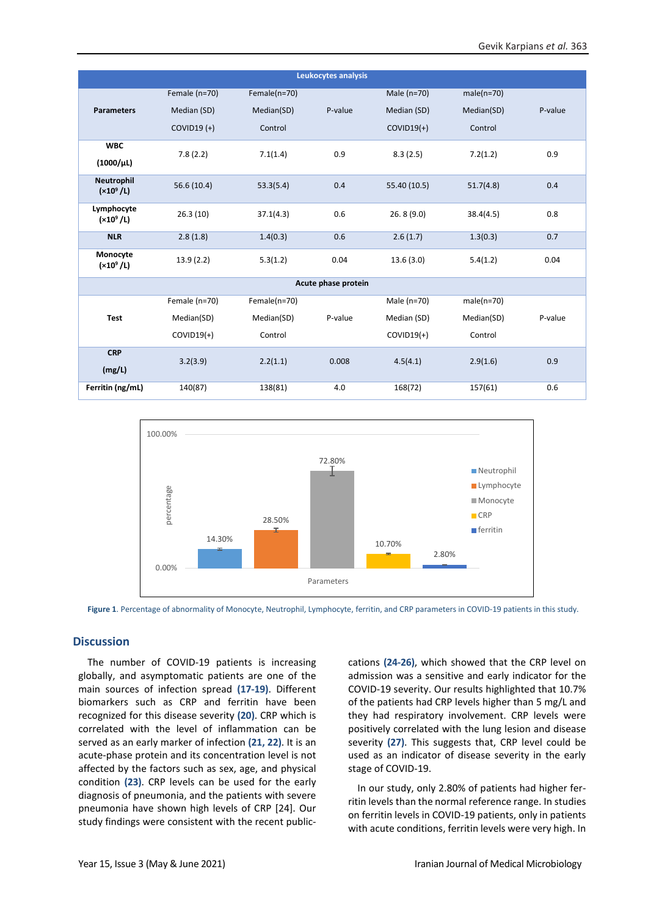| Leukocytes analysis         |               |              |         |              |              |         |  |
|-----------------------------|---------------|--------------|---------|--------------|--------------|---------|--|
|                             | Female (n=70) | Female(n=70) |         | Male (n=70)  | $male(n=70)$ |         |  |
| <b>Parameters</b>           | Median (SD)   | Median(SD)   | P-value | Median (SD)  | Median(SD)   | P-value |  |
|                             | $COVID19 (+)$ | Control      |         | $COVID19(+)$ | Control      |         |  |
| <b>WBC</b>                  | 7.8(2.2)      | 7.1(1.4)     | 0.9     | 8.3(2.5)     | 7.2(1.2)     | 0.9     |  |
| $(1000/\mu L)$              |               |              |         |              |              |         |  |
| Neutrophil<br>$(x10^9 / L)$ | 56.6 (10.4)   | 53.3(5.4)    | 0.4     | 55.40 (10.5) | 51.7(4.8)    | 0.4     |  |
| Lymphocyte<br>$(x10^9 / L)$ | 26.3(10)      | 37.1(4.3)    | 0.6     | 26.8(9.0)    | 38.4(4.5)    | 0.8     |  |
| <b>NLR</b>                  | 2.8(1.8)      | 1.4(0.3)     | 0.6     | 2.6(1.7)     | 1.3(0.3)     | 0.7     |  |
| Monocyte<br>$(x10^9 / L)$   | 13.9(2.2)     | 5.3(1.2)     | 0.04    | 13.6(3.0)    | 5.4(1.2)     | 0.04    |  |
| Acute phase protein         |               |              |         |              |              |         |  |
|                             | Female (n=70) | Female(n=70) |         | Male (n=70)  | $male(n=70)$ |         |  |
| <b>Test</b>                 | Median(SD)    | Median(SD)   | P-value | Median (SD)  | Median(SD)   | P-value |  |
|                             | $COVID19(+)$  | Control      |         | $COVID19(+)$ | Control      |         |  |
| <b>CRP</b>                  | 3.2(3.9)      | 2.2(1.1)     | 0.008   | 4.5(4.1)     | 2.9(1.6)     | 0.9     |  |
| (mg/L)                      |               |              |         |              |              |         |  |
| Ferritin (ng/mL)            | 140(87)       | 138(81)      | 4.0     | 168(72)      | 157(61)      | 0.6     |  |



<span id="page-3-0"></span>**Figure 1**. Percentage of abnormality of Monocyte, Neutrophil, Lymphocyte, ferritin, and CRP parameters in COVID-19 patients in this study.

# **Discussion**

The number of COVID-19 patients is increasing globally, and asymptomatic patients are one of the main sources of infection spread **(17-19)**. Different biomarkers such as CRP and ferritin have been recognized for this disease severity **(20)**. CRP which is correlated with the level of inflammation can be served as an early marker of infection **(21, 22)**. It is an acute-phase protein and its concentration level is not affected by the factors such as sex, age, and physical condition **(23)**. CRP levels can be used for the early diagnosis of pneumonia, and the patients with severe pneumonia have shown high levels of CRP [24]. Our study findings were consistent with the recent publiccations **(24-26)**, which showed that the CRP level on admission was a sensitive and early indicator for the COVID-19 severity. Our results highlighted that 10.7% of the patients had CRP levels higher than 5 mg/L and they had respiratory involvement. CRP levels were positively correlated with the lung lesion and disease severity **(27)**. This suggests that, CRP level could be used as an indicator of disease severity in the early stage of COVID-19.

In our study, only 2.80% of patients had higher ferritin levels than the normal reference range. In studies on ferritin levels in COVID-19 patients, only in patients with acute conditions, ferritin levels were very high. In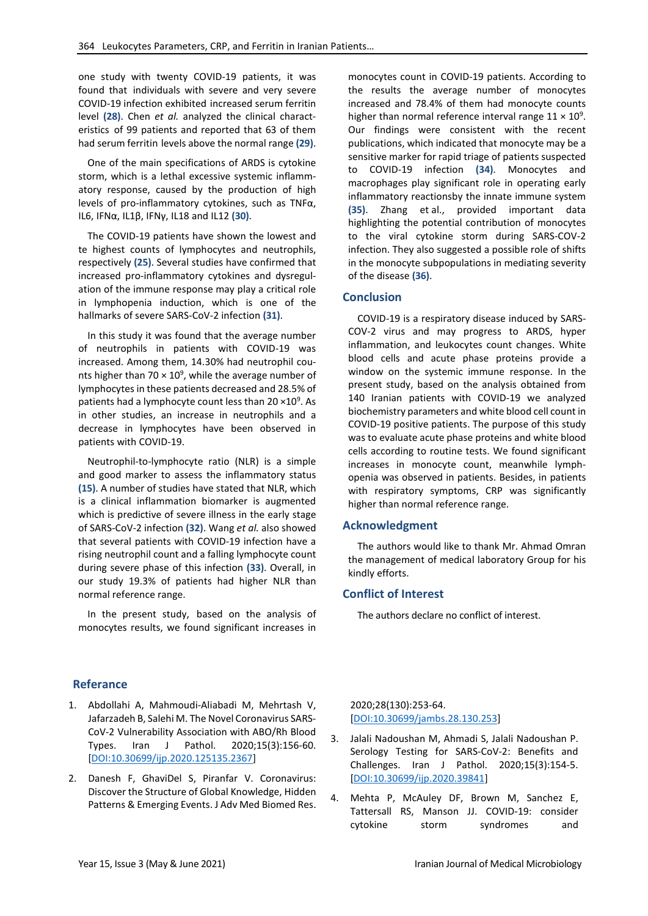one study with twenty COVID-19 patients, it was found that individuals with severe and very severe COVID-19 infection exhibited increased serum ferritin level **(28)**. Chen *et al.* analyzed the clinical characteristics of 99 patients and reported that 63 of them had serum ferritin levels above the normal range **(29)**.

One of the main specifications of ARDS is cytokine storm, which is a lethal excessive systemic inflammatory response, caused by the production of high levels of pro-inflammatory cytokines, such as TNFα, IL6, IFNα, IL1β, IFNγ, IL18 and IL12 **(30)**.

The COVID-19 patients have shown the lowest and te highest counts of lymphocytes and neutrophils, respectively **(25)**. Several studies have confirmed that increased pro-inflammatory cytokines and dysregulation of the immune response may play a critical role in lymphopenia induction, which is one of the hallmarks of severe SARS-CoV-2 infection **(31)**.

In this study it was found that the average number of neutrophils in patients with COVID-19 was increased. Among them, 14.30% had neutrophil counts higher than 70  $\times$  10<sup>9</sup>, while the average number of lymphocytes in these patients decreased and 28.5% of patients had a lymphocyte count less than 20 ×10<sup>9</sup>. As in other studies, an increase in neutrophils and a decrease in lymphocytes have been observed in patients with COVID-19.

Neutrophil-to-lymphocyte ratio (NLR) is a simple and good marker to assess the inflammatory status **(15)**. A number of studies have stated that NLR, which is a clinical inflammation biomarker is augmented which is predictive of severe illness in the early stage of SARS-CoV-2 infection **(32)**. Wang *et al.* also showed that several patients with COVID-19 infection have a rising neutrophil count and a falling lymphocyte count during severe phase of this infection **(33)**. Overall, in our study 19.3% of patients had higher NLR than normal reference range.

In the present study, based on the analysis of monocytes results, we found significant increases in

monocytes count in COVID-19 patients. According to the results the average number of monocytes increased and 78.4% of them had monocyte counts higher than normal reference interval range  $11 \times 10^9$ . Our findings were consistent with the recent publications, which indicated that monocyte may be a sensitive marker for rapid triage of patients suspected to COVID-19 infection **(34)**. Monocytes and macrophages play significant role in operating early inflammatory reactionsby the innate immune system **(35)**. Zhang et al., provided important data highlighting the potential contribution of monocytes to the viral cytokine storm during SARS-COV-2 infection. They also suggested a possible role of shifts in the monocyte subpopulations in mediating severity of the disease **(36)**.

# **Conclusion**

COVID-19 is a respiratory disease induced by SARS-COV-2 virus and may progress to ARDS, hyper inflammation, and leukocytes count changes. White blood cells and acute phase proteins provide a window on the systemic immune response. In the present study, based on the analysis obtained from 140 Iranian patients with COVID-19 we analyzed biochemistry parameters and white blood cell count in COVID-19 positive patients. The purpose of this study was to evaluate acute phase proteins and white blood cells according to routine tests. We found significant increases in monocyte count, meanwhile lymphopenia was observed in patients. Besides, in patients with respiratory symptoms, CRP was significantly higher than normal reference range.

#### **Acknowledgment**

The authors would like to thank Mr. Ahmad Omran the management of medical laboratory Group for his kindly efforts.

#### **Conflict of Interest**

The authors declare no conflict of interest.

# **Referance**

- 1. Abdollahi A, Mahmoudi-Aliabadi M, Mehrtash V, Jafarzadeh B, Salehi M. The Novel Coronavirus SARS-CoV-2 Vulnerability Association with ABO/Rh Blood Types. Iran J Pathol. 2020;15(3):156-60. [\[DOI:10.30699/ijp.2020.125135.2367\]](https://doi.org/10.30699/ijp.2020.125135.2367)
- 2. Danesh F, GhaviDel S, Piranfar V. Coronavirus: Discover the Structure of Global Knowledge, Hidden Patterns & Emerging Events. J Adv Med Biomed Res.

2020;28(130):253-64. [\[DOI:10.30699/jambs.28.130.253\]](https://doi.org/10.30699/jambs.28.130.253)

- 3. Jalali Nadoushan M, Ahmadi S, Jalali Nadoushan P. Serology Testing for SARS-CoV-2: Benefits and Challenges. Iran J Pathol. 2020;15(3):154-5. [\[DOI:10.30699/ijp.2020.39841\]](https://doi.org/10.30699/ijp.2020.39841)
- 4. Mehta P, McAuley DF, Brown M, Sanchez E, Tattersall RS, Manson JJ. COVID-19: consider cytokine storm syndromes and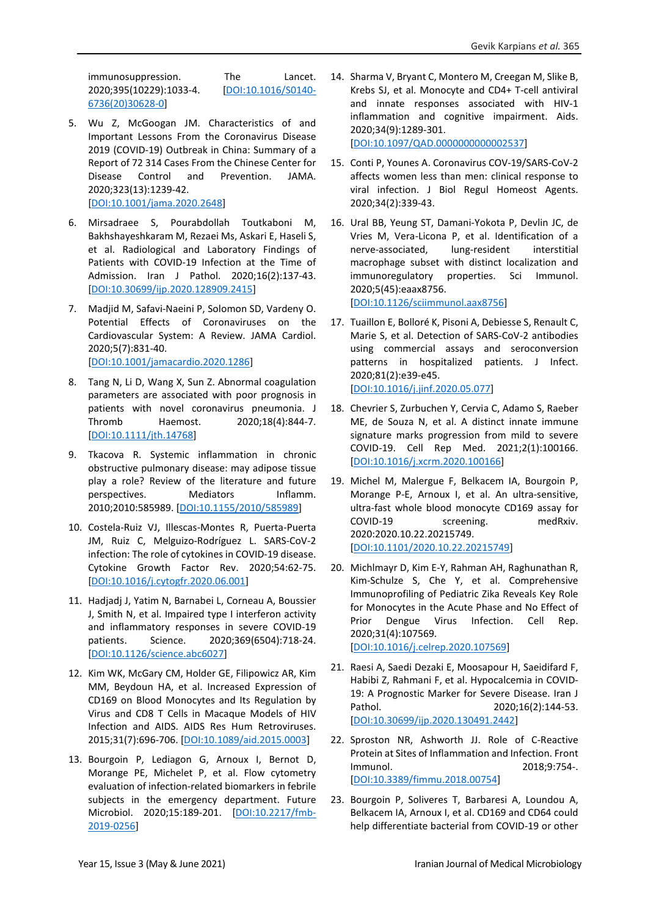immunosuppression. The Lancet. 2020;395(10229):1033-4. [\[DOI:10.1016/S0140-](https://doi.org/10.1016/S0140-6736(20)30628-0) [6736\(20\)30628-0\]](https://doi.org/10.1016/S0140-6736(20)30628-0)

- 5. Wu Z, McGoogan JM. Characteristics of and Important Lessons From the Coronavirus Disease 2019 (COVID-19) Outbreak in China: Summary of a Report of 72 314 Cases From the Chinese Center for Disease Control and Prevention. JAMA. 2020;323(13):1239-42. [\[DOI:10.1001/jama.2020.2648\]](https://doi.org/10.1001/jama.2020.2648)
- 6. Mirsadraee S, Pourabdollah Toutkaboni M, Bakhshayeshkaram M, Rezaei Ms, Askari E, Haseli S, et al. Radiological and Laboratory Findings of Patients with COVID-19 Infection at the Time of Admission. Iran J Pathol. 2020;16(2):137-43. [\[DOI:10.30699/ijp.2020.128909.2415\]](https://doi.org/10.30699/ijp.2020.128909.2415)
- 7. Madjid M, Safavi-Naeini P, Solomon SD, Vardeny O. Potential Effects of Coronaviruses on the Cardiovascular System: A Review. JAMA Cardiol. 2020;5(7):831-40. [\[DOI:10.1001/jamacardio.2020.1286\]](https://doi.org/10.1001/jamacardio.2020.1286)
- 8. Tang N, Li D, Wang X, Sun Z. Abnormal coagulation parameters are associated with poor prognosis in patients with novel coronavirus pneumonia. J Thromb Haemost. 2020;18(4):844-7. [\[DOI:10.1111/jth.14768\]](https://doi.org/10.1111/jth.14768)
- 9. Tkacova R. Systemic inflammation in chronic obstructive pulmonary disease: may adipose tissue play a role? Review of the literature and future perspectives. Mediators Inflamm. 2010;2010:585989. [\[DOI:10.1155/2010/585989\]](https://doi.org/10.1155/2010/585989)
- 10. Costela-Ruiz VJ, Illescas-Montes R, Puerta-Puerta JM, Ruiz C, Melguizo-Rodríguez L. SARS-CoV-2 infection: The role of cytokines in COVID-19 disease. Cytokine Growth Factor Rev. 2020;54:62-75. [\[DOI:10.1016/j.cytogfr.2020.06.001\]](https://doi.org/10.1016/j.cytogfr.2020.06.001)
- 11. Hadjadj J, Yatim N, Barnabei L, Corneau A, Boussier J, Smith N, et al. Impaired type I interferon activity and inflammatory responses in severe COVID-19 patients. Science. 2020;369(6504):718-24. [\[DOI:10.1126/science.abc6027\]](https://doi.org/10.1126/science.abc6027)
- 12. Kim WK, McGary CM, Holder GE, Filipowicz AR, Kim MM, Beydoun HA, et al. Increased Expression of CD169 on Blood Monocytes and Its Regulation by Virus and CD8 T Cells in Macaque Models of HIV Infection and AIDS. AIDS Res Hum Retroviruses. 2015;31(7):696-706. [\[DOI:10.1089/aid.2015.0003\]](https://doi.org/10.1089/aid.2015.0003)
- 13. Bourgoin P, Lediagon G, Arnoux I, Bernot D, Morange PE, Michelet P, et al. Flow cytometry evaluation of infection-related biomarkers in febrile subjects in the emergency department. Future Microbiol. 2020;15:189-201. [\[DOI:10.2217/fmb-](https://doi.org/10.2217/fmb-2019-0256)[2019-0256\]](https://doi.org/10.2217/fmb-2019-0256)

14. Sharma V, Bryant C, Montero M, Creegan M, Slike B, Krebs SJ, et al. Monocyte and CD4+ T-cell antiviral and innate responses associated with HIV-1 inflammation and cognitive impairment. Aids. 2020;34(9):1289-301.

[\[DOI:10.1097/QAD.0000000000002537\]](https://doi.org/10.1097/QAD.0000000000002537)

- 15. Conti P, Younes A. Coronavirus COV-19/SARS-CoV-2 affects women less than men: clinical response to viral infection. J Biol Regul Homeost Agents. 2020;34(2):339-43.
- 16. Ural BB, Yeung ST, Damani-Yokota P, Devlin JC, de Vries M, Vera-Licona P, et al. Identification of a nerve-associated, lung-resident interstitial macrophage subset with distinct localization and immunoregulatory properties. Sci Immunol. 2020;5(45):eaax8756. [\[DOI:10.1126/sciimmunol.aax8756\]](https://doi.org/10.1126/sciimmunol.aax8756)
- 17. Tuaillon E, Bolloré K, Pisoni A, Debiesse S, Renault C, Marie S, et al. Detection of SARS-CoV-2 antibodies using commercial assays and seroconversion patterns in hospitalized patients. J Infect. 2020;81(2):e39-e45. [\[DOI:10.1016/j.jinf.2020.05.077\]](https://doi.org/10.1016/j.jinf.2020.05.077)

18. Chevrier S, Zurbuchen Y, Cervia C, Adamo S, Raeber

- ME, de Souza N, et al. A distinct innate immune signature marks progression from mild to severe COVID-19. Cell Rep Med. 2021;2(1):100166. [\[DOI:10.1016/j.xcrm.2020.100166\]](https://doi.org/10.1016/j.xcrm.2020.100166)
- 19. Michel M, Malergue F, Belkacem IA, Bourgoin P, Morange P-E, Arnoux I, et al. An ultra-sensitive, ultra-fast whole blood monocyte CD169 assay for COVID-19 screening. medRxiv. 2020:2020.10.22.20215749. [\[DOI:10.1101/2020.10.22.20215749\]](https://doi.org/10.1101/2020.10.22.20215749)
- 20. Michlmayr D, Kim E-Y, Rahman AH, Raghunathan R, Kim-Schulze S, Che Y, et al. Comprehensive Immunoprofiling of Pediatric Zika Reveals Key Role for Monocytes in the Acute Phase and No Effect of Prior Dengue Virus Infection. Cell Rep. 2020;31(4):107569. [\[DOI:10.1016/j.celrep.2020.107569\]](https://doi.org/10.1016/j.celrep.2020.107569)
- 21. Raesi A, Saedi Dezaki E, Moosapour H, Saeidifard F, Habibi Z, Rahmani F, et al. Hypocalcemia in COVID-19: A Prognostic Marker for Severe Disease. Iran J Pathol. 2020;16(2):144-53. [\[DOI:10.30699/ijp.2020.130491.2442\]](https://doi.org/10.30699/ijp.2020.130491.2442)
- 22. Sproston NR, Ashworth JJ. Role of C-Reactive Protein at Sites of Inflammation and Infection. Front Immunol. 2018;9:754-. [\[DOI:10.3389/fimmu.2018.00754\]](https://doi.org/10.3389/fimmu.2018.00754)
- 23. Bourgoin P, Soliveres T, Barbaresi A, Loundou A, Belkacem IA, Arnoux I, et al. CD169 and CD64 could help differentiate bacterial from COVID-19 or other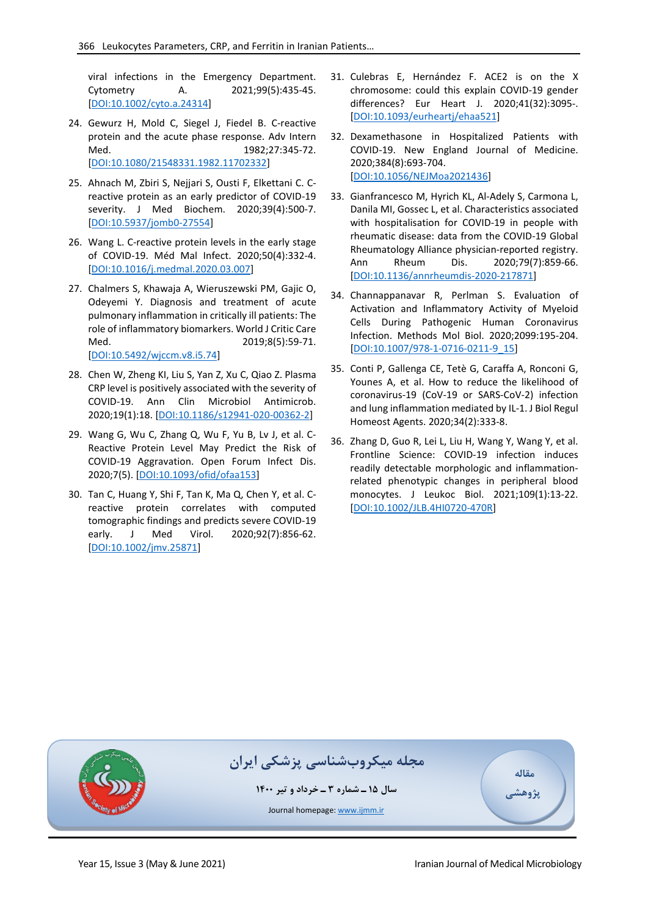viral infections in the Emergency Department. Cytometry A. 2021;99(5):435-45. [\[DOI:10.1002/cyto.a.24314\]](https://doi.org/10.1002/cyto.a.24314)

- 24. Gewurz H, Mold C, Siegel J, Fiedel B. C-reactive protein and the acute phase response. Adv Intern Med. 1982;27:345-72. [\[DOI:10.1080/21548331.1982.11702332\]](https://doi.org/10.1080/21548331.1982.11702332)
- 25. Ahnach M, Zbiri S, Nejjari S, Ousti F, Elkettani C. Creactive protein as an early predictor of COVID-19 severity. J Med Biochem. 2020;39(4):500-7. [\[DOI:10.5937/jomb0-27554\]](https://doi.org/10.5937/jomb0-27554)
- 26. Wang L. C-reactive protein levels in the early stage of COVID-19. Méd Mal Infect. 2020;50(4):332-4. [\[DOI:10.1016/j.medmal.2020.03.007\]](https://doi.org/10.1016/j.medmal.2020.03.007)
- 27. Chalmers S, Khawaja A, Wieruszewski PM, Gajic O, Odeyemi Y. Diagnosis and treatment of acute pulmonary inflammation in critically ill patients: The role of inflammatory biomarkers. World J Critic Care Med. 2019;8(5):59-71. [\[DOI:10.5492/wjccm.v8.i5.74\]](https://doi.org/10.5492/wjccm.v8.i5.74)
- 28. Chen W, Zheng KI, Liu S, Yan Z, Xu C, Qiao Z. Plasma CRP level is positively associated with the severity of COVID-19. Ann Clin Microbiol Antimicrob. 2020;19(1):18. [\[DOI:10.1186/s12941-020-00362-2\]](https://doi.org/10.1186/s12941-020-00362-2)
- 29. Wang G, Wu C, Zhang Q, Wu F, Yu B, Lv J, et al. C-Reactive Protein Level May Predict the Risk of COVID-19 Aggravation. Open Forum Infect Dis. 2020;7(5). [\[DOI:10.1093/ofid/ofaa153\]](https://doi.org/10.1093/ofid/ofaa153)
- 30. Tan C, Huang Y, Shi F, Tan K, Ma Q, Chen Y, et al. Creactive protein correlates with computed tomographic findings and predicts severe COVID-19 early. J Med Virol. 2020;92(7):856-62. [\[DOI:10.1002/jmv.25871\]](https://doi.org/10.1002/jmv.25871)
- 31. Culebras E, Hernández F. ACE2 is on the X chromosome: could this explain COVID-19 gender differences? Eur Heart J. 2020;41(32):3095-. [\[DOI:10.1093/eurheartj/ehaa521\]](https://doi.org/10.1093/eurheartj/ehaa521)
- 32. Dexamethasone in Hospitalized Patients with COVID-19. New England Journal of Medicine. 2020;384(8):693-704. [\[DOI:10.1056/NEJMoa2021436\]](https://doi.org/10.1056/NEJMoa2021436)
- 33. Gianfrancesco M, Hyrich KL, Al-Adely S, Carmona L, Danila MI, Gossec L, et al. Characteristics associated with hospitalisation for COVID-19 in people with rheumatic disease: data from the COVID-19 Global Rheumatology Alliance physician-reported registry. Ann Rheum Dis. 2020;79(7):859-66. [\[DOI:10.1136/annrheumdis-2020-217871\]](https://doi.org/10.1136/annrheumdis-2020-217871)
- 34. Channappanavar R, Perlman S. Evaluation of Activation and Inflammatory Activity of Myeloid Cells During Pathogenic Human Coronavirus Infection. Methods Mol Biol. 2020;2099:195-204. [\[DOI:10.1007/978-1-0716-0211-9\\_15\]](https://doi.org/10.1007/978-1-0716-0211-9_15)
- 35. Conti P, Gallenga CE, Tetè G, Caraffa A, Ronconi G, Younes A, et al. How to reduce the likelihood of coronavirus-19 (CoV-19 or SARS-CoV-2) infection and lung inflammation mediated by IL-1. J Biol Regul Homeost Agents. 2020;34(2):333-8.
- 36. Zhang D, Guo R, Lei L, Liu H, Wang Y, Wang Y, et al. Frontline Science: COVID-19 infection induces readily detectable morphologic and inflammationrelated phenotypic changes in peripheral blood monocytes. J Leukoc Biol. 2021;109(1):13-22. [\[DOI:10.1002/JLB.4HI0720-470R\]](https://doi.org/10.1002/JLB.4HI0720-470R)